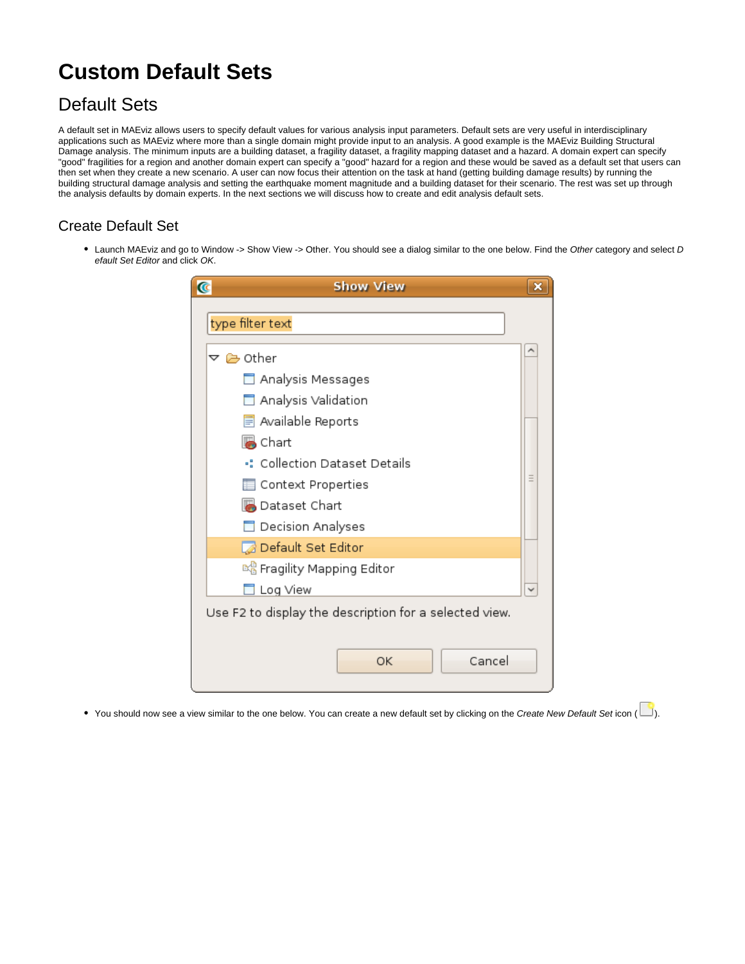# **Custom Default Sets**

## Default Sets

A default set in MAEviz allows users to specify default values for various analysis input parameters. Default sets are very useful in interdisciplinary applications such as MAEviz where more than a single domain might provide input to an analysis. A good example is the MAEviz Building Structural Damage analysis. The minimum inputs are a building dataset, a fragility dataset, a fragility mapping dataset and a hazard. A domain expert can specify "good" fragilities for a region and another domain expert can specify a "good" hazard for a region and these would be saved as a default set that users can then set when they create a new scenario. A user can now focus their attention on the task at hand (getting building damage results) by running the building structural damage analysis and setting the earthquake moment magnitude and a building dataset for their scenario. The rest was set up through the analysis defaults by domain experts. In the next sections we will discuss how to create and edit analysis default sets.

### Create Default Set

• Launch MAEviz and go to Window -> Show View -> Other. You should see a dialog similar to the one below. Find the Other category and select D efault Set Editor and click OK.

| $\overline{\mathbf{C}}$<br><b>Show View</b>            | × |  |
|--------------------------------------------------------|---|--|
| type filter text                                       |   |  |
| ▽ & Other                                              |   |  |
| Analysis Messages                                      |   |  |
| Analysis Validation                                    |   |  |
| $\mathbf{E}$ Available Reports                         |   |  |
| <b>B</b> Chart                                         |   |  |
| •: Collection Dataset Details                          |   |  |
| <b>■ Context Properties</b>                            |   |  |
| Dataset Chart                                          |   |  |
| $\Box$ Decision Analyses                               |   |  |
| Default Set Editor                                     |   |  |
| 喝 Fragility Mapping Editor                             |   |  |
| Log View                                               |   |  |
| Use F2 to display the description for a selected view. |   |  |
|                                                        |   |  |
| Cancel<br>OK                                           |   |  |

● You should now see a view similar to the one below. You can create a new default set by clicking on the Create New Default Set icon ( $\Box$ ).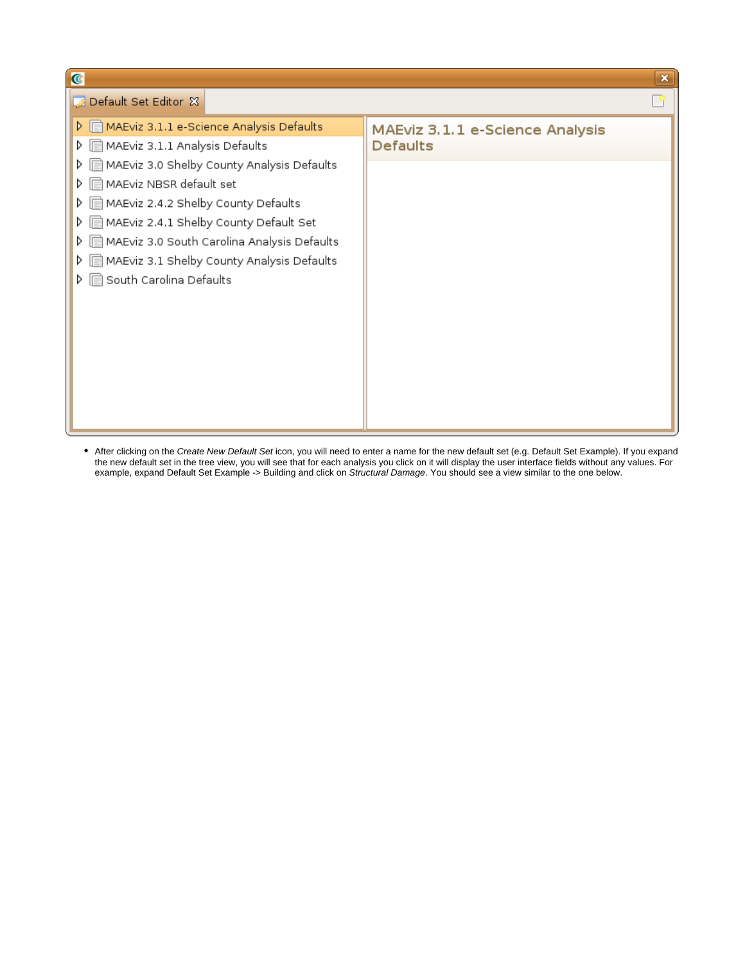| $\mathbf C$                                                                                                                                                                                                                                                                                                                                                                                                    |                                                    | $\mathbf x$ |
|----------------------------------------------------------------------------------------------------------------------------------------------------------------------------------------------------------------------------------------------------------------------------------------------------------------------------------------------------------------------------------------------------------------|----------------------------------------------------|-------------|
| Default Set Editor &                                                                                                                                                                                                                                                                                                                                                                                           |                                                    |             |
| MAEviz 3.1.1 e-Science Analysis Defaults<br>$\triangleright$ $\blacksquare$<br>MAEviz 3.1.1 Analysis Defaults<br>▷<br>MAEviz 3.0 Shelby County Analysis Defaults<br>MAEviz NBSR default set<br>MAEviz 2.4.2 Shelby County Defaults<br>▷<br>MAEviz 2.4.1 Shelby County Default Set<br>MAEviz 3.0 South Carolina Analysis Defaults<br>▷<br>MAEviz 3.1 Shelby County Analysis Defaults<br>South Carolina Defaults | MAEviz 3.1.1 e-Science Analysis<br><b>Defaults</b> |             |

After clicking on the Create New Default Set icon, you will need to enter a name for the new default set (e.g. Default Set Example). If you expand the new default set in the tree view, you will see that for each analysis you click on it will display the user interface fields without any values. For example, expand Default Set Example -> Building and click on Structural Damage. You should see a view similar to the one below.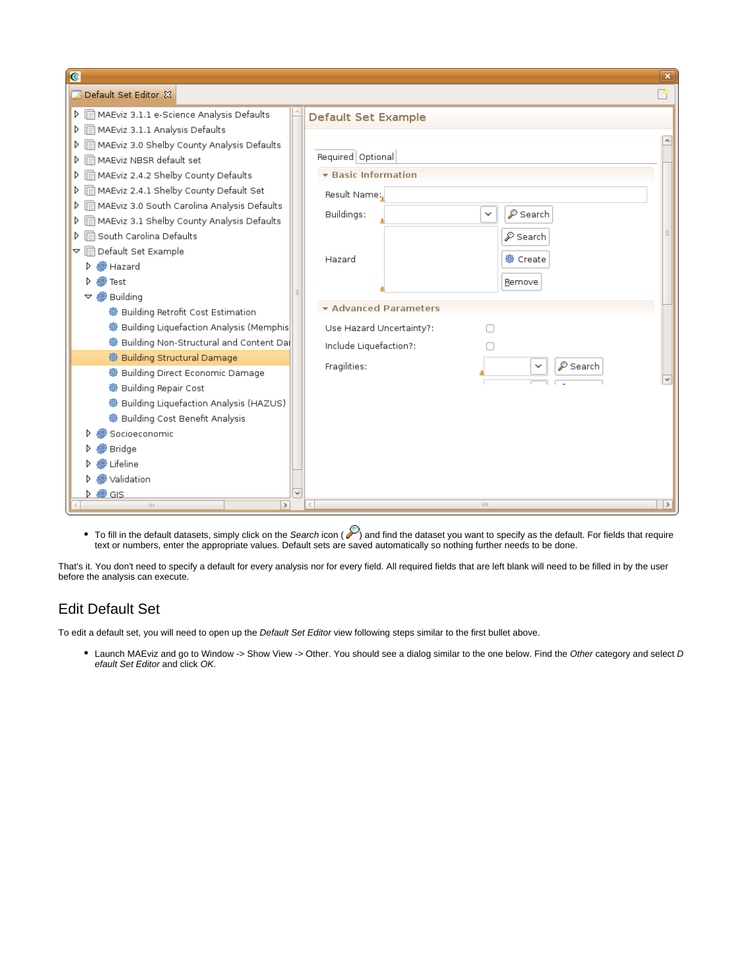

• To fill in the default datasets, simply click on the Search icon ( $\curvearrowright$ ) and find the dataset you want to specify as the default. For fields that require text or numbers, enter the appropriate values. Default sets are saved automatically so nothing further needs to be done.

That's it. You don't need to specify a default for every analysis nor for every field. All required fields that are left blank will need to be filled in by the user before the analysis can execute.

#### Edit Default Set

To edit a default set, you will need to open up the Default Set Editor view following steps similar to the first bullet above.

• Launch MAEviz and go to Window -> Show View -> Other. You should see a dialog similar to the one below. Find the Other category and select D efault Set Editor and click OK.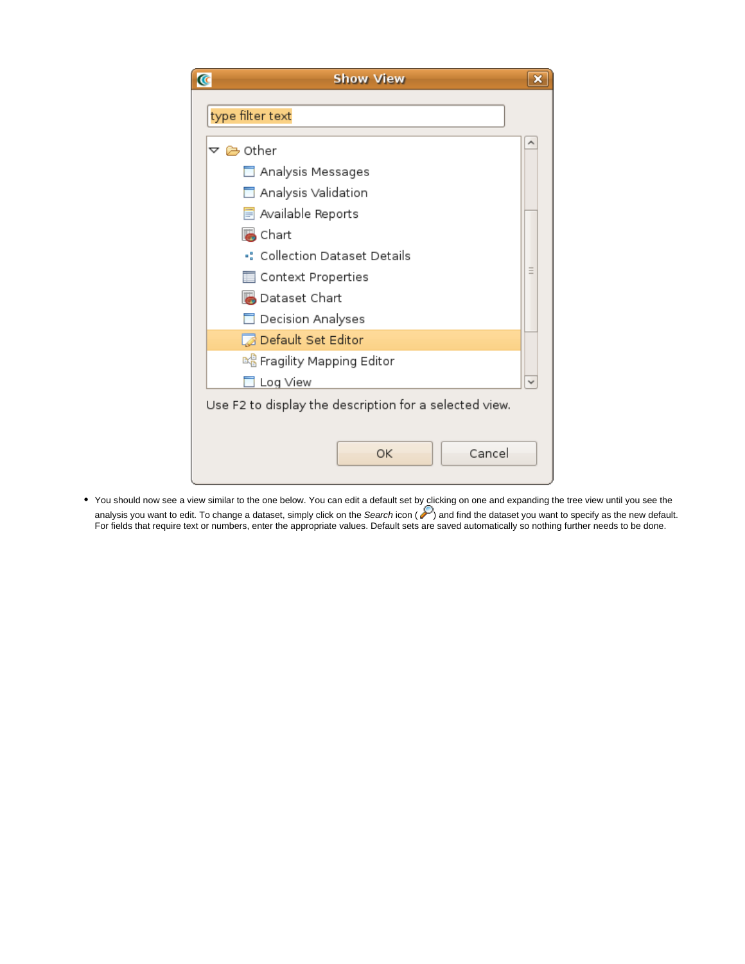| I<br><b>Show View</b>                                  | ×        |  |
|--------------------------------------------------------|----------|--|
| type filter text                                       |          |  |
| ▽ 2 Other                                              |          |  |
| Analysis Messages                                      |          |  |
| Analysis Validation                                    |          |  |
| $\mathbf{E}$ Available Reports                         |          |  |
| <b>B</b> Chart                                         |          |  |
| •: Collection Dataset Details                          |          |  |
| <b>■ Context Properties</b>                            | $\equiv$ |  |
| Dataset Chart                                          |          |  |
| Decision Analyses                                      |          |  |
| Default Set Editor                                     |          |  |
| 喝 Fragility Mapping Editor                             |          |  |
| $\Box$ Log View                                        |          |  |
| Use F2 to display the description for a selected view. |          |  |
|                                                        |          |  |
| Cancel<br>OK                                           |          |  |

You should now see a view similar to the one below. You can edit a default set by clicking on one and expanding the tree view until you see the analysis you want to edit. To change a dataset, simply click on the Search icon ( $\blacktriangleright$ ) and find the dataset you want to specify as the new default. For fields that require text or numbers, enter the appropriate values. Default sets are saved automatically so nothing further needs to be done.